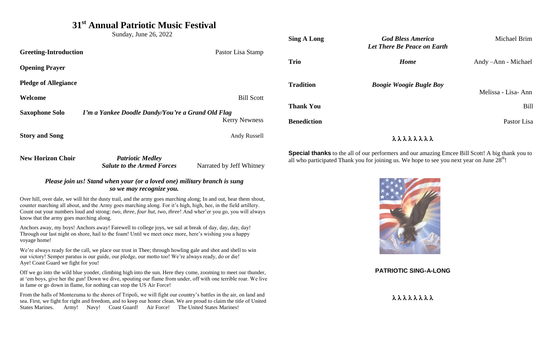## **31 st Annual Patriotic Music Festival**

Sunday, June 26, 2022

| <b>Greeting-Introduction</b> | Pastor Lisa Stamp                                                         |
|------------------------------|---------------------------------------------------------------------------|
| <b>Opening Prayer</b>        |                                                                           |
| <b>Pledge of Allegiance</b>  |                                                                           |
| Welcome                      | <b>Bill Scott</b>                                                         |
| <b>Saxophone Solo</b>        | I'm a Yankee Doodle Dandy/You're a Grand Old Flag<br><b>Kerry Newness</b> |
| <b>Story and Song</b>        | Andy Russell                                                              |
|                              |                                                                           |

| <b>Sing A Long</b> | <b>God Bless America</b><br>Let There Be Peace on Earth | Michael Brim         |
|--------------------|---------------------------------------------------------|----------------------|
| Trio               | <b>Home</b>                                             | Andy - Ann - Michael |
| Tradition          | <b>Boogie Woogie Bugle Boy</b>                          | Melissa - Lisa-Ann   |
| Thank You          |                                                         | <b>Bill</b>          |
| <b>Benediction</b> |                                                         | Pastor Lisa          |

## λλλλλλλλ

**New Horizon Choir** *Patriotic Medley Salute to the Armed Forces* Narrated by Jeff Whitney

## *Please join us! Stand when your (or a loved one) military branch is sung so we may recognize you.*

Over hill, over dale, we will hit the dusty trail, and the army goes marching along; In and out, hear them shout, counter marching all about, and the Army goes marching along. For it's high, high, hee, in the field artillery. Count out your numbers loud and strong: *two, three, four hut, two, three*! And wher'er you go, you will always know that the army goes marching along.

Anchors away, my boys! Anchors away! Farewell to college joys, we sail at break of day, day, day, day! Through our last night on shore, hail to the foam! Until we meet once more, here's wishing you a happy voyage home!

We're always ready for the call, we place our trust in Thee; through howling gale and shot and shell to win our victory! Semper paratus is our guide, our pledge, our motto too! We're always ready, do or die! Aye! Coast Guard we fight for you!

Off we go into the wild blue yonder, climbing high into the sun. Here they come, zooming to meet our thunder, at 'em boys, give her the gun! Down we dive, spouting our flame from under, off with one terrible roar. We live in fame or go down in flame, for nothing can stop the US Air Force!

From the halls of Montezuma to the shores of Tripoli, we will fight our country's battles in the air, on land and sea. First, we fight for right and freedom, and to keep our honor clean. We are proud to claim the title of United States Marines. Army! Navy! Coast Guard! Air Force! The United States Marines!

**Special thanks** to the all of our performers and our amazing Emcee Bill Scott! A big thank you to all who participated Thank you for joining us. We hope to see you next year on June  $28<sup>th</sup>!$ 



**PATRIOTIC SING-A-LONG**

λλλλλλλλ